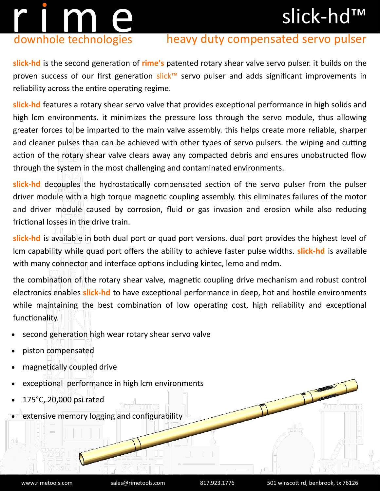## slick-hd™

# r i m en downhole technologies

### heavy duty compensated servo pulser

**slick-hd** is the second generation of **rime's** patented rotary shear valve servo pulser. it builds on the proven success of our first generation slick™ servo pulser and adds significant improvements in reliability across the entire operating regime.

**slick-hd** features a rotary shear servo valve that provides exceptional performance in high solids and high lcm environments. it minimizes the pressure loss through the servo module, thus allowing greater forces to be imparted to the main valve assembly. this helps create more reliable, sharper and cleaner pulses than can be achieved with other types of servo pulsers. the wiping and cutting action of the rotary shear valve clears away any compacted debris and ensures unobstructed flow through the system in the most challenging and contaminated environments.

**slick-hd** decouples the hydrostatically compensated section of the servo pulser from the pulser driver module with a high torque magnetic coupling assembly. this eliminates failures of the motor and driver module caused by corrosion, fluid or gas invasion and erosion while also reducing frictional losses in the drive train.

**slick-hd** is available in both dual port or quad port versions. dual port provides the highest level of lcm capability while quad port offers the ability to achieve faster pulse widths. **slick-hd** is available with many connector and interface options including kintec, lemo and mdm.

the combination of the rotary shear valve, magnetic coupling drive mechanism and robust control electronics enables **slick-hd** to have exceptional performance in deep, hot and hostile environments while maintaining the best combination of low operating cost, high reliability and exceptional functionality.

- second generation high wear rotary shear servo valve
- piston compensated
- magnetically coupled drive
- exceptional performance in high lcm environments
- 175°C, 20,000 psi rated
- extensive memory logging and configurability